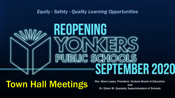*Equity - Safety - Quality Learning Opportunities*

# REOPENING PUBLIC SCHO SEPTEMBER 2020

Town Hall Meetings Rev. Steve Lopez, President, Yonkers Board of Education<br>Dr. Edwin M. Quezada, Superintendent of Schools

and Dr. Edwin M. Quezada, Superintendent of Schools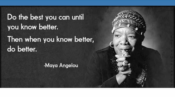Do the best you can until you know better.

Then when you know better, do better.

-Maya Angelou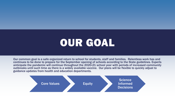# OUR GOAL

Our common goal is a safe organized return to school for students, staff and families. Relentless work has and continues to be done to prepare for the September opening of schools according to the State guidelines. Experts anticipate the pandemic will continue throughout the 2020-21 school year with periods of increased community outbreaks until such time as there is a widely available vaccine. Our plans will be flexible to quickly adjust to guidance updates from health and education departments.

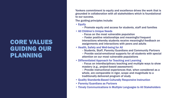## CORE VALUES GUIDING OUR PLANNING

Yonkers commitment to equity and excellence drives the work that is grounded in collaboration with all stakeholders which is foundational to our success.

The guiding principles include:

- Equity
	- Promote equity and access for students, staff and families
- All Children's Unique Needs
	- Focus on the most vulnerable population
	- Foster positive relationships and meaningful frequent interactions whereby students receive meaningful feedback on assignments and interactions with peers and adults
- Health, Safety and Well-being for All
	- Students, Staff, Parents/Guardians and Community Partners
	- Provide social-emotional supports for all students with special attention on our most vulnerable populations
- Differentiated Approach for Teaching and Learning
	- Focus on interdisciplinary teaching and multiple ways to show mastery (e.g., project-based assessment)
	- Provide instructional experiences that, when considered as a whole, are comparable in rigor, scope and magnitude to a traditionally delivered program of study
- Quality Standards-Based Culturally Responsive Instruction
- Parents/Guardians as Partners
- Timely Communications in Multiple Languages to All Stakeholders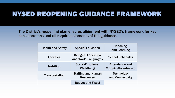# NYSED REOPENING GUIDANCE FRAMEWORK

The District's reopening plan ensures alignment with NYSED's framework for key considerations and all required elements of the guidance.

| <b>Health and Safety</b> | <b>Special Education</b>                          | <b>Teaching</b><br>and Learning                     |
|--------------------------|---------------------------------------------------|-----------------------------------------------------|
| <b>Facilities</b>        | <b>Bilingual Education</b><br>and World Languages | <b>School Schedules</b>                             |
| <b>Nutrition</b>         | <b>Social-Emotional</b><br><b>Well-Being</b>      | <b>Attendance and</b><br><b>Chronic Absenteeism</b> |
| <b>Transportation</b>    | <b>Staffing and Human</b><br><b>Resources</b>     | <b>Technology</b><br>and Connectivity               |
|                          | <b>Budget and Fiscal</b>                          |                                                     |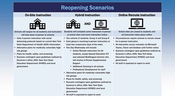### Reopening Scenarios



Schools will reopen for all students and instruction

- will take place in-person at schools.
- Daily in-person instruction with social distancing protocols based on current New York State Department of Health (DOH) information
- Alternative plans for medically vulnerable/highrisk groups
- **Plans for health, safety, and screening**
- Scenario contingent upon guidelines outlined by Governor's office, DOH, New York State Education Department (NYSED) and local government



- Students will complete some instruction in-person at school sites and some instruction online.
- Two cohorts of students: Group A and Group B
- Each group is receiving in-person instruction at least two consecutive days of the week
- Flex Day Wednesday will include:
	- Online Remote instruction for All students, except Special Education ICT and selected Multilingual learners who will receive In-Person Supplemental Support
	- Additional Cleaning in all schools
	- **Professional Development for staff**
- Alternative plans for medically vulnerable/highrisk groups
- **Plans for health, safety, and screening**
- **EXECTE:** Scenario contingent upon guidelines outlined by Governor's office, DOH, New York State Education Department (NYSED) and local government
- All staff is expected to report to work

#### On-Site Instruction **Exercise Exercise Instruction** Hybrid Instruction **Construction** Online Remote Instruction



- School sites are closed to students and all instruction takes place online.
- Circumstances require schools to remain closed for in-person instruction
- All instruction occurs remotely via Microsoft Teams, Clever and SeeSaw until further notice
- Scenario contingent upon guidelines outlined by Governor's office, DOH, New York State Education Department (NYSED) and local government
- All staff is expected to report to work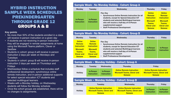### HYBRID INSTRUCTION SAMPLE WEEK SCHEDULES PREKINDERGARTEN THROUGH GRADE 12 GROUPS A & B

#### **Key points**

- No more than 50% of the students enrolled in a class will receive in-person instruction on a given day
- If students are not receiving in-person instruction they will be engaged in remote assignments at home using the Microsoft Teams platform, Clever or **SeaSaw**
- Students in cohort: group A will receive in-person instruction 2 days per week on Mondays and Tuesdays
- Students in cohort: group B will receive in-person instruction 2 days per week on Thursdays and **Fridays**
- Wednesdays follow a schedule that includes staff professional development, synchronous online remote instruction, and in-person additional supports for select special education ICT students and selected multilingual learners
- Weeks with a Monday holiday, on Wednesday students will follow the Monday schedule
- Once the cohort groups are established, there will be no changes to assignments.

#### Sample Week - No Monday Holiday - Cohort: Group A

| <b>Monday</b>                          | Tuesday                                | Wednesday                                                                                                                                                                                                                                                               | <b>Thursday</b>                                                                                                   | Friday                                                                                                            |
|----------------------------------------|----------------------------------------|-------------------------------------------------------------------------------------------------------------------------------------------------------------------------------------------------------------------------------------------------------------------------|-------------------------------------------------------------------------------------------------------------------|-------------------------------------------------------------------------------------------------------------------|
| <b>In-Person</b><br><b>Instruction</b> | <b>In-Person</b><br><b>Instruction</b> | <b>Flex Day</b><br>• Synchronous Online Remote Instruction for all<br>students, except for Special Education ICT<br>students and selected Multilingual learners<br>who will receive a half-day of In-Person<br>supplemental support<br>• Staff Professional Development | <b>Online</b><br>Remote<br><b>Instruction</b><br><b>Microsoft</b><br>Teams,<br><b>Clever and</b><br><b>Seesaw</b> | <b>Online</b><br>Remote<br><b>Instruction</b><br><b>Microsoft</b><br>Teams.<br><b>Clever and</b><br><b>Seesaw</b> |

#### Sample Week - No Monday Holiday - Cohort: Group B

| <b>Monday</b>                                                                                                     | Tuesday                                                                                                                  | Wednesday                                                                                                                                                                                                                                                                  | <b>Thursday</b>                        | Friday                                 |
|-------------------------------------------------------------------------------------------------------------------|--------------------------------------------------------------------------------------------------------------------------|----------------------------------------------------------------------------------------------------------------------------------------------------------------------------------------------------------------------------------------------------------------------------|----------------------------------------|----------------------------------------|
| <b>Online</b><br>Remote<br><b>Instruction</b><br><b>Microsoft</b><br>Teams.<br><b>Clever and</b><br><b>Seesaw</b> | <b>Online</b><br><b>Remote</b><br><b>Instruction</b><br><b>Microsoft</b><br>Teams.<br><b>Clever and</b><br><b>Seesaw</b> | <b>Flex Day</b><br>Synchronous Online Remote Instruction for all<br>students, except for Special Education ICT<br>students and selected Multilingual learners<br>who will receive a half-day of In-Person<br>supplemental support<br><b>Staff Professional Development</b> | <b>In-Person</b><br><b>Instruction</b> | <b>In-Person</b><br><b>Instruction</b> |

#### Sample Week – Monday Holiday - Cohort: Group A

| Monday  | Tuesdav                                | Wednesday                              | Thursday                                                                                | Friday                                                                                  |
|---------|----------------------------------------|----------------------------------------|-----------------------------------------------------------------------------------------|-----------------------------------------------------------------------------------------|
| Holiday | <b>In-Person</b><br><b>Instruction</b> | <b>In-Person</b><br><b>Instruction</b> | <b>Online Remote Instruction</b><br><b>Microsoft Teams, Clever and</b><br><b>Seesaw</b> | <b>Online Remote Instruction</b><br><b>Microsoft Teams, Clever and</b><br><b>Seesaw</b> |

#### Sample Week – Monday Holiday - Cohort: Group B

| <b>Monday</b> | Tuesday                                                                                 | Wednesday                                                                        | <b>Thursday</b>                        | Friday                          |
|---------------|-----------------------------------------------------------------------------------------|----------------------------------------------------------------------------------|----------------------------------------|---------------------------------|
| Holiday       | <b>Online Remote Instruction</b><br><b>Microsoft Teams, Clever and</b><br><b>Seesaw</b> | Online Remote Instruction<br><b>Microsoft Teams, Clever and</b><br><b>Seesaw</b> | <b>In-Person</b><br><b>Instruction</b> | In-Person<br><b>Instruction</b> |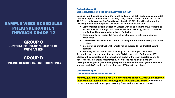### SAMPLE WEEK SCHEDULES PREKINDERGARTEN THROUGH GRADE 12

GROUP C SPECIAL EDUCATION STUDENTS WITH AN IEP

GROUP D ONLINE REMOTE INSTRUCTION ONLY

#### Cohort: Group C Special Education Students (SWD with an IEP)

Coupled with the need to ensure the health and safety of both students and staff, Self-Contained Special Education Classes (i.e., 12:1, 12:1:1, 12:1:2, 12:2:2, 12:1:4, 15:1, 15:1:1) as well as Autism Program Classes (i.e., 8:1:2, 12:1:2), will implement the following model upon reopening of schools for In-Person Instruction.

- Self-Contained Special Education Classes with an enrollment of 15 students or less will receive four days of in-person instruction (Monday, Tuesday, Thursday, and Friday). The days may be adjusted for holidays.
- Students will also receive 1.5 hours of synchronous remote instruction on **Wednesday**
- These classes will constitute cohorts meaning that their membership will remain constant
- Intermingling of instructional cohorts will be avoided to the greatest extent possible
- Flexibility will be used in the scheduling of staff to support this model As members of general education settings, SWD in Integrated Co-Teaching (ICT) Classes will be educated in the instructional model of their non-disabled peers. To address social distancing requirements, ICT Classes will be divided into two heterogeneous groups (maintaining the proportional distribution of general education students and SWD), which will constitute an "ICT Cohort," per above.

#### Cohort: Group D Online Remote Instruction ONLY

Parents/guardians will be given the opportunity to choose 100% Online Remote Instruction for their children from August 13 to August 21, 2020. Based on this process, students will be assigned to Group D Online Remote Instruction Only.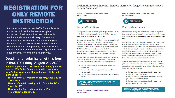### REGISTRATION FOR ONLY REMOTE INSTRUCTION

It is important to note that 100% Online Remote Instruction will not be the same as Hybrid Instruction. Realtime online instruction with teachers and students will vary. Content and resources will be available online through your teacher(s) and the District's Distance Learning website. Students and parents/guardians must understand that their child will be expected to work independently to complete assignments.

### Deadline for submission of this form is 5:00 PM Friday, August 21. 2020.

It is also important to note that once a parent/guardian selects 100% Online Remote Instruction, you may not change the selection until the end of your child's first marking period:

- The end of the 1st marking period for grades 7-12 is November 6
- The end of the fall marking period for grades 1-6 is November 27
- The end of the 1st marking period for PreK-Kindergarten is January 29

Registration for Online ONLY Remote Instruction | Registro para Instrucción Remota Solamente

**Register for Remote Only Online Instruction** for Your Child



#### **Parents/Guardians**

This registration form is ONLY for parents/guardians to select 100% Online Remote Instruction for their child. A separate form must be submitted for each child.

It is important to note that 100% Online Remote Instruction will not be the same as Hybrid Instruction. Realtime online instruction with teachers and students will vary. Content and resources will be available online through your teacher(s) and the District's Distance Learning website. Students and parents/guardians must understand that their child will be expected to work independently to complete assignments.

It is also important to note that once a parent/guardian selects 100% Online Remote Instruction, you may not change the selection until the end of your child's first marking period:

- " The end of the 1st marking period for grades 7-12 is November 6
- . The end of the fall marking period for grades 1-6 is November 27
- " The end of the 1st marking period for PreK-Kindergarten is January 29

Deadline for submission of this form is 5PM Friday,<br>August 21, 2020. Once submitted, your selection cannot be changed.

**Register for Remote Only Online Instruction** for Your Child

Registro para Instrucción Remota Solamente para su niña/niño



#### Padres/Guardianes

Este formulario de registro es solamente para que los padres / tutores seleccionen la instrucción remota en línea 100% para su hijo(a). Se debe enviar un formulario por separado para cada niño.

Es importante tener en cuenta que la instrucción remota 100% en línea no será lo mismo que la instrucción híbrida. La instrucción en línea en tiempo real con profesores y estudiantes variará. El contenido y los recursos estarán disponibles en línea a través de su(s) maestro(s) y el sitio web de aprendizaje a distancia del distrito. Los estudiantes y los padres / tutores deben comprender que se espera que su hijo(a) trabaje de forma independiente para completar las tareas.

También es importante tener en cuenta que una vez que un padre / tutor selecciona la instrucción remota en línea al 100%, no puede cambiar la selección hasta el final del primer período de calificaciones de su hijo(a):

- · El final del primer período de calificaciones para los grados 7-12 es el 6 de noviembre
- · El final del período de calificaciones de otoño para los grados 1-6 es el 27 de noviembre
- " El final del primer período de calificaciones para PreK-Kindergarten es el 29 de enero

La fecha límite para enviar este formulario es el<br>viernes 21 de agosto de 2020 a las 5 p.m. Una vez<br>enviada, su selección no se puede cambiar.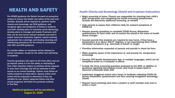### **HEALTH AND SAFETY** Health Checks and Screenings (Hybrid and In-person Instruction)

Per NYSED guidance the District focused on preventive actions to ensure the health and safety of the staff and families. Schools will be required to: perform health checks and screenings, per DOH guidance, and recognize signs and symptoms of illness in students and staff; develop plans to maximize social distancing; develop plans to manage and isolate ill persons until they can be sent home; instruct students and staff in proper hand and respiratory hygiene; require wearing appropriate face coverings; and develop cleaning and disinfecting procedures for the school in accordance with CDC and DOH guidance.

No outside visitors or volunteers will be allowed on school campuses, except for the safety and well-being of students.

Parents/guardians will report to the front office and not go beyond unless it is for the safety or well-being of their child. Essential visitors to facilities will be required to wear face coverings and will be restricted in their access to our school buildings. Visitors must follow all safety protocols as listed above. Spaces within each school will be evaluated to determine if they are suitable for use. District approved before and after school programs will follow the protocols outlined in The Plan.

Additional guidance will be provided by August 21, 2020

- $\checkmark$  Begin screening at home. Parents are responsible for checking their child's daily temperature and completing the health screening questionnaire. Schools will determine additional screening, as needed.
- $\checkmark$  Urge parents to assess their child(ren) daily for outward symptoms of COVID-19
- $\checkmark$  Require parents/guardians to complete COVID Survey/Attestation questionnaire for each child, and to contact the school in the event of health status changes
- $\checkmark$  Counsel parents that students are required to stay home, if they have a temperature at or above 100.0o degrees, or are experiencing other COVID-19-related symptoms (e.g., shortness of breath or cough)
- $\checkmark$  Prioritize information requested of parents and provide in check list form
- $\checkmark$  Make students aware of the importance of, and process for, temperature screenings
- $\checkmark$  Develop YPS Health Questionnaire App, in multiple languages, which can be completed online on a computer or phone
- $\checkmark$  Include the three screening questions proposed by the DOH, in addition to questions regarding international travel, and travel to states listed in Governor's Executive Order 205
- $\checkmark$  Implement staggered school entry times, to facilitate collecting COVID-19 Survey/Attestation questionnaire and face covering recognition technology (kiosk)
- $\checkmark$  Require hand sanitizing each time a student or staff member exits and reenters a room